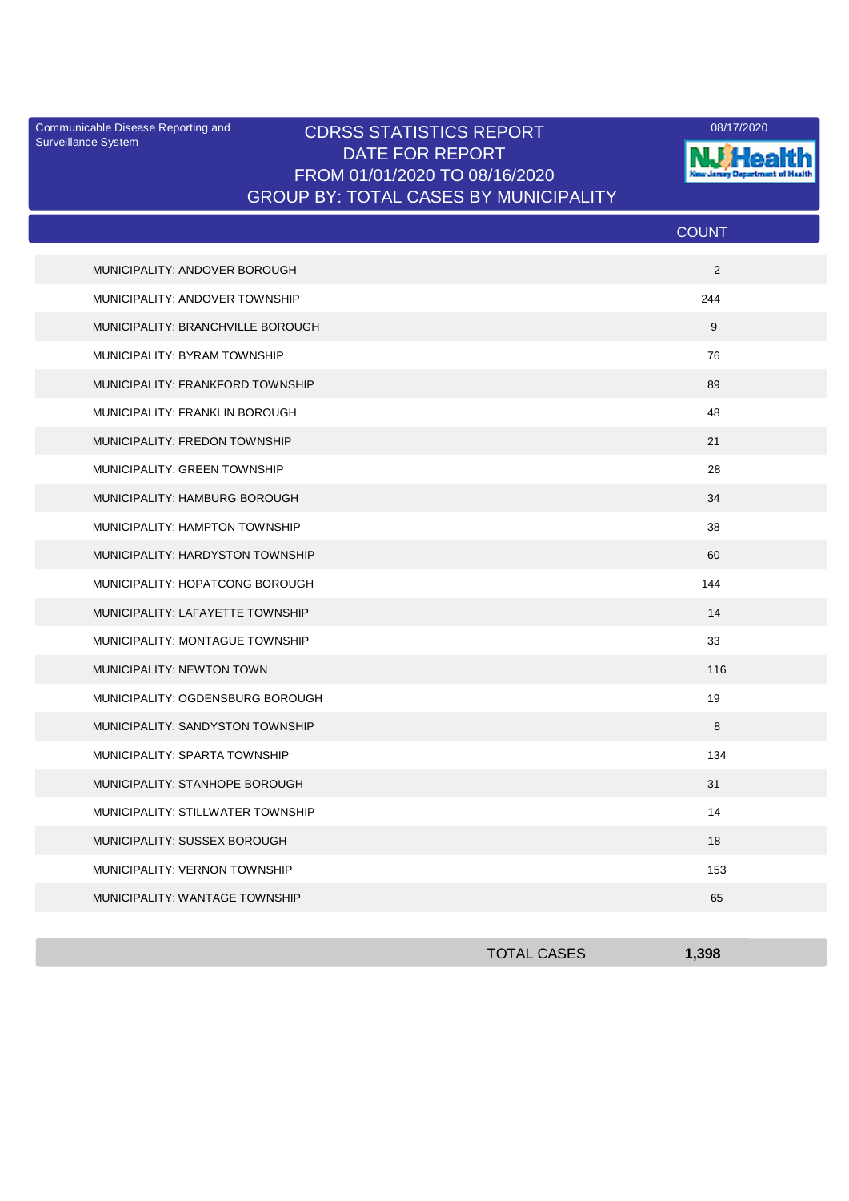Surveillance System

## Communicable Disease Reporting and CDRSS STATISTICS REPORT 2008/17/2020 DATE FOR REPORT FROM 01/01/2020 TO 08/16/2020 GROUP BY: TOTAL CASES BY MUNICIPALITY



|                                   | <b>COUNT</b> |
|-----------------------------------|--------------|
| MUNICIPALITY: ANDOVER BOROUGH     | 2            |
| MUNICIPALITY: ANDOVER TOWNSHIP    | 244          |
| MUNICIPALITY: BRANCHVILLE BOROUGH | 9            |
| MUNICIPALITY: BYRAM TOWNSHIP      | 76           |
| MUNICIPALITY: FRANKFORD TOWNSHIP  | 89           |
| MUNICIPALITY: FRANKLIN BOROUGH    | 48           |
| MUNICIPALITY: FREDON TOWNSHIP     | 21           |
| MUNICIPALITY: GREEN TOWNSHIP      | 28           |
| MUNICIPALITY: HAMBURG BOROUGH     | 34           |
| MUNICIPALITY: HAMPTON TOWNSHIP    | 38           |
| MUNICIPALITY: HARDYSTON TOWNSHIP  | 60           |
| MUNICIPALITY: HOPATCONG BOROUGH   | 144          |
| MUNICIPALITY: LAFAYETTE TOWNSHIP  | 14           |
| MUNICIPALITY: MONTAGUE TOWNSHIP   | 33           |
| MUNICIPALITY: NEWTON TOWN         | 116          |
| MUNICIPALITY: OGDENSBURG BOROUGH  | 19           |
| MUNICIPALITY: SANDYSTON TOWNSHIP  | 8            |
| MUNICIPALITY: SPARTA TOWNSHIP     | 134          |
| MUNICIPALITY: STANHOPE BOROUGH    | 31           |
| MUNICIPALITY: STILLWATER TOWNSHIP | 14           |
| MUNICIPALITY: SUSSEX BOROUGH      | 18           |
| MUNICIPALITY: VERNON TOWNSHIP     | 153          |
| MUNICIPALITY: WANTAGE TOWNSHIP    | 65           |

| <b>TOTAL CASES</b> | .398 |
|--------------------|------|
|                    |      |